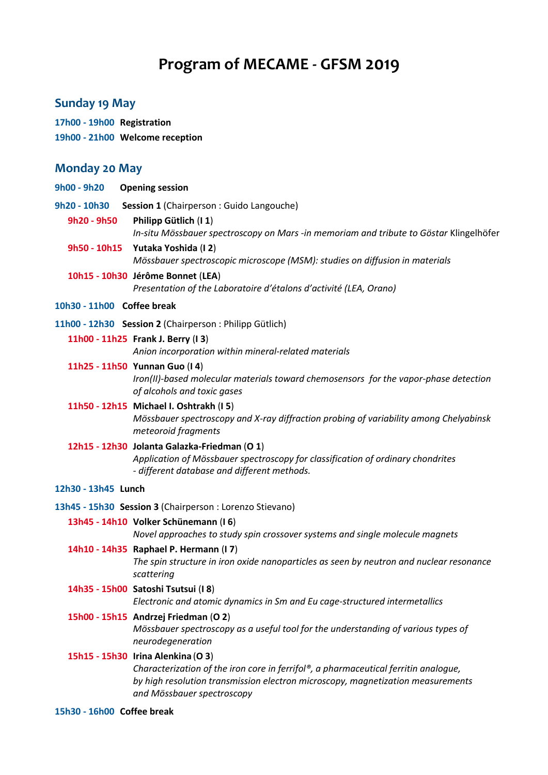# **Program of MECAME - GFSM 2019**

## **Sunday 19 May**

## **17h00 - 19h00 Registration**

**19h00 - 21h00 Welcome reception**

## **Monday 20 May**

| 9h00 - 9h20                | <b>Opening session</b>                                                                                                                                                                                                                     |
|----------------------------|--------------------------------------------------------------------------------------------------------------------------------------------------------------------------------------------------------------------------------------------|
| 9h20 - 10h30               | Session 1 (Chairperson: Guido Langouche)                                                                                                                                                                                                   |
| 9h20 - 9h50                | Philipp Gütlich (I 1)<br>In-situ Mössbauer spectroscopy on Mars -in memoriam and tribute to Göstar Klingelhöfer                                                                                                                            |
|                            | 9h50 - 10h15 Yutaka Yoshida (I2)<br>Mössbauer spectroscopic microscope (MSM): studies on diffusion in materials                                                                                                                            |
|                            | 10h15 - 10h30 Jérôme Bonnet (LEA)<br>Presentation of the Laboratoire d'étalons d'activité (LEA, Orano)                                                                                                                                     |
| 10h30 - 11h00 Coffee break |                                                                                                                                                                                                                                            |
|                            | 11h00 - 12h30 Session 2 (Chairperson: Philipp Gütlich)                                                                                                                                                                                     |
|                            | 11h00 - 11h25 Frank J. Berry (I3)<br>Anion incorporation within mineral-related materials                                                                                                                                                  |
|                            | 11h25 - 11h50 Yunnan Guo (I 4)<br>Iron(II)-based molecular materials toward chemosensors for the vapor-phase detection<br>of alcohols and toxic gases                                                                                      |
|                            | 11h50 - 12h15 Michael I. Oshtrakh (I5)<br>Mössbauer spectroscopy and X-ray diffraction probing of variability among Chelyabinsk<br>meteoroid fragments                                                                                     |
|                            | 12h15 - 12h30 Jolanta Galazka-Friedman (O 1)<br>Application of Mössbauer spectroscopy for classification of ordinary chondrites<br>- different database and different methods.                                                             |
| 12h30 - 13h45 Lunch        |                                                                                                                                                                                                                                            |
|                            | 13h45 - 15h30 Session 3 (Chairperson : Lorenzo Stievano)                                                                                                                                                                                   |
|                            | 13h45 - 14h10 Volker Schünemann (I6)                                                                                                                                                                                                       |
|                            | Novel approaches to study spin crossover systems and single molecule magnets                                                                                                                                                               |
|                            | 14h10 - 14h35 Raphael P. Hermann (I7)<br>The spin structure in iron oxide nanoparticles as seen by neutron and nuclear resonance<br>scattering                                                                                             |
|                            | 14h35 - 15h00 Satoshi Tsutsui (I 8)<br>Electronic and atomic dynamics in Sm and Eu cage-structured intermetallics                                                                                                                          |
|                            | 15h00 - 15h15 Andrzej Friedman (O 2)<br>Mössbauer spectroscopy as a useful tool for the understanding of various types of<br>neurodegeneration                                                                                             |
|                            | 15h15 - 15h30 Irina Alenkina (O 3)<br>Characterization of the iron core in ferrifol®, a pharmaceutical ferritin analogue,<br>by high resolution transmission electron microscopy, magnetization measurements<br>and Mössbauer spectroscopy |
|                            |                                                                                                                                                                                                                                            |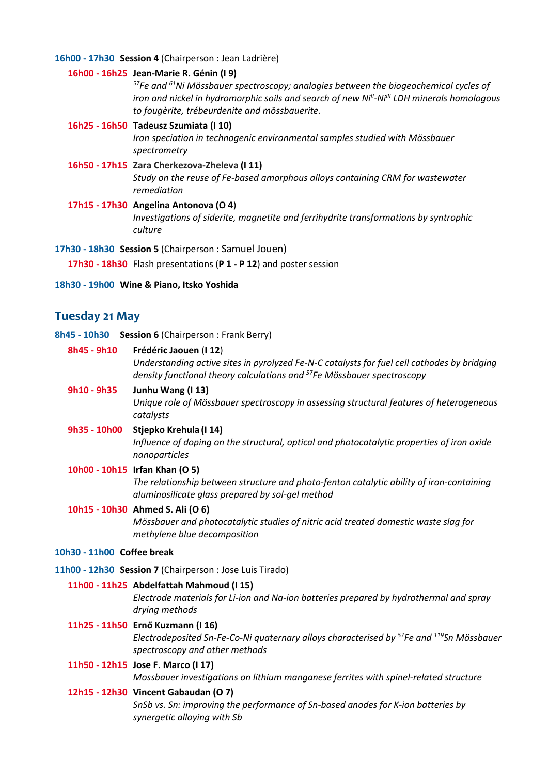#### **16h00 - 17h30 Session 4** (Chairperson : Jean Ladrière)

#### **16h00 - 16h25 Jean-Marie R. Génin (I 9)**

*<sup>57</sup>Fe and <sup>61</sup>Ni Mössbauer spectroscopy; analogies between the biogeochemical cycles of iron and nickel in hydromorphic soils and search of new NiII -NiIII LDH minerals homologous to fougèrite, trébeurdenite and mössbauerite.*

#### **16h25 - 16h50 Tadeusz Szumiata (I 10)**

*Iron speciation in technogenic environmental samples studied with Mössbauer spectrometry*

## **16h50 - 17h15 Zara Cherkezova-Zheleva (I 11)**

*Study on the reuse of Fe-based amorphous alloys containing CRM for wastewater remediation*

**17h15 - 17h30 Angelina Antonova (O 4**) *Investigations of siderite, magnetite and ferrihydrite transformations by syntrophic culture*

**17h30 - 18h30 Session 5** (Chairperson : Samuel Jouen)

**17h30 - 18h30** Flash presentations (**P 1 - P 12**) and poster session

#### **18h30 - 19h00 Wine & Piano, Itsko Yoshida**

## **Tuesday 21 May**

**8h45 - 10h30 Session 6** (Chairperson : Frank Berry)

#### **8h45 - 9h10 Frédéric Jaouen** (**I 12**)

*Understanding active sites in pyrolyzed Fe-N-C catalysts for fuel cell cathodes by bridging density functional theory calculations and <sup>57</sup>Fe Mössbauer spectroscopy*

## **9h10 - 9h35 Junhu Wang (I 13)**

*Unique role of Mössbauer spectroscopy in assessing structural features of heterogeneous catalysts* 

#### **9h35 - 10h00 Stjepko Krehula (I 14)**

*Influence of doping on the structural, optical and photocatalytic properties of iron oxide nanoparticles*

### **10h00 - 10h15 Irfan Khan (O 5)**

*The relationship between structure and photo-fenton catalytic ability of iron-containing aluminosilicate glass prepared by sol-gel method*

## **10h15 - 10h30 Ahmed S. Ali (O 6)**

*Mössbauer and photocatalytic studies of nitric acid treated domestic waste slag for methylene blue decomposition*

#### **10h30 - 11h00 Coffee break**

**11h00 - 12h30 Session 7** (Chairperson : Jose Luis Tirado)

#### **11h00 - 11h25 Abdelfattah Mahmoud (I 15)**

*Electrode materials for Li-ion and Na-ion batteries prepared by hydrothermal and spray drying methods*

#### **11h25 - 11h50 Ernő Kuzmann (I 16)**

*Electrodeposited Sn-Fe-Co-Ni quaternary alloys characterised by <sup>57</sup>Fe and <sup>119</sup>Sn Mössbauer spectroscopy and other methods*

#### **11h50 - 12h15 Jose F. Marco (I 17)**

*Mossbauer investigations on lithium manganese ferrites with spinel-related structure* 

#### **12h15 - 12h30 Vincent Gabaudan (O 7)**

*SnSb vs. Sn: improving the performance of Sn-based anodes for K-ion batteries by synergetic alloying with Sb*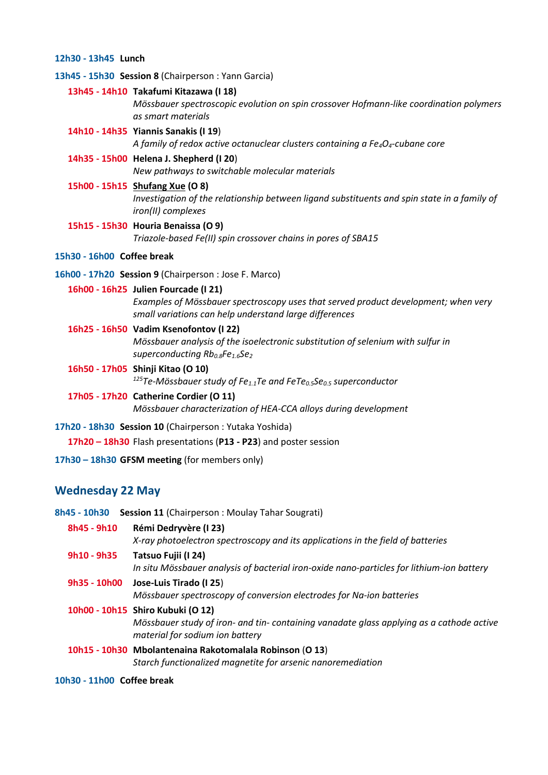#### **12h30 - 13h45 Lunch**

**13h45 - 15h30 Session 8** (Chairperson : Yann Garcia)

**13h45 - 14h10 Takafumi Kitazawa (I 18)**

*Mössbauer spectroscopic evolution on spin crossover Hofmann-like coordination polymers as smart materials*

**14h10 - 14h35 Yiannis Sanakis (I 19**)

*A family of redox active octanuclear clusters containing a Fe4O4-cubane core*

**14h35 - 15h00 Helena J. Shepherd (I 20**) *New pathways to switchable molecular materials*

#### **15h00 - 15h15 Shufang Xue (O 8)**

*Investigation of the relationship between ligand substituents and spin state in a family of iron(II) complexes*

**15h15 - 15h30 Houria Benaissa (O 9)** *Triazole-based Fe(II) spin crossover chains in pores of SBA15*

## **15h30 - 16h00 Coffee break**

**16h00 - 17h20 Session 9** (Chairperson : Jose F. Marco)

#### **16h00 - 16h25 Julien Fourcade (I 21)**

*Examples of Mössbauer spectroscopy uses that served product development; when very small variations can help understand large differences*

#### **16h25 - 16h50 Vadim Ksenofontov (I 22)**

*Mössbauer analysis of the isoelectronic substitution of selenium with sulfur in superconducting Rb0.8Fe1.6Se<sup>2</sup>*

- **16h50 - 17h05 Shinji Kitao (O 10)** *<sup>125</sup>Te-Mössbauer study of Fe1.1Te and FeTe0.5Se0.5 superconductor*
- **17h05 - 17h20 Catherine Cordier (O 11)** *Mössbauer characterization of HEA-CCA alloys during development*
- **17h20 - 18h30 Session 10** (Chairperson : Yutaka Yoshida)

**17h20 – 18h30** Flash presentations (**P13 - P23**) and poster session

**17h30 – 18h30 GFSM meeting** (for members only)

## **Wednesday 22 May**

- **8h45 - 10h30 Session 11** (Chairperson : Moulay Tahar Sougrati) **8h45 - 9h10 Rémi Dedryvère (I 23)** *X-ray photoelectron spectroscopy and its applications in the field of batteries* **9h10 - 9h35 Tatsuo Fujii (I 24)**  *In situ Mössbauer analysis of bacterial iron-oxide nano-particles for lithium-ion battery* **9h35 - 10h00 Jose-Luis Tirado (I 25**) *Mössbauer spectroscopy of conversion electrodes for Na-ion batteries* **10h00 - 10h15 Shiro Kubuki (O 12)** *Mössbauer study of iron- and tin- containing vanadate glass applying as a cathode active material for sodium ion battery* **10h15 - 10h30 Mbolantenaina Rakotomalala Robinson** (**O 13**) *Starch functionalized magnetite for arsenic nanoremediation*
- **10h30 - 11h00 Coffee break**